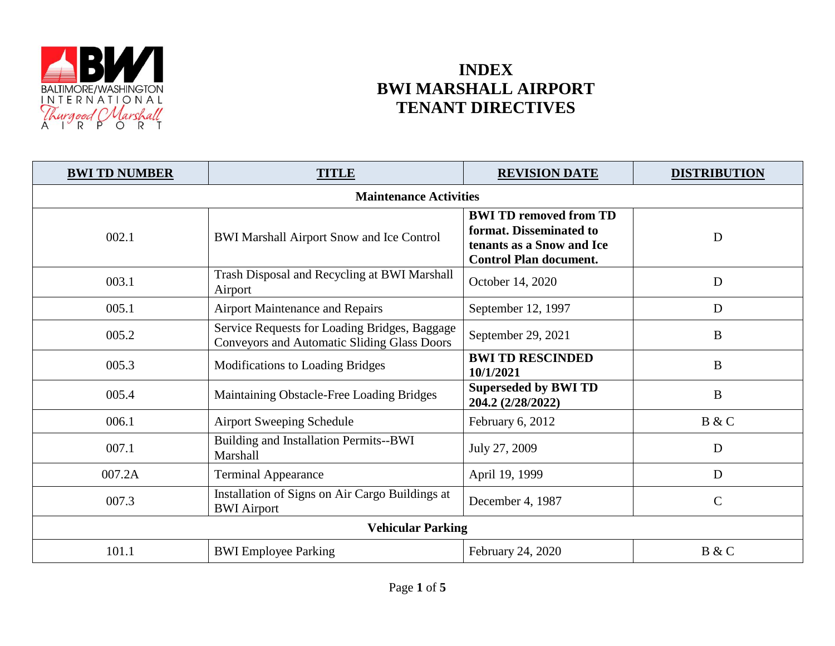

## **INDEX BWI MARSHALL AIRPORT TENANT DIRECTIVES**

| <b>BWI TD NUMBER</b>          | <b>TITLE</b>                                                                                        | <b>REVISION DATE</b>                                                                                                   | <b>DISTRIBUTION</b> |
|-------------------------------|-----------------------------------------------------------------------------------------------------|------------------------------------------------------------------------------------------------------------------------|---------------------|
| <b>Maintenance Activities</b> |                                                                                                     |                                                                                                                        |                     |
| 002.1                         | BWI Marshall Airport Snow and Ice Control                                                           | <b>BWI TD removed from TD</b><br>format. Disseminated to<br>tenants as a Snow and Ice<br><b>Control Plan document.</b> | D                   |
| 003.1                         | Trash Disposal and Recycling at BWI Marshall<br>Airport                                             | October 14, 2020                                                                                                       | D                   |
| 005.1                         | <b>Airport Maintenance and Repairs</b>                                                              | September 12, 1997                                                                                                     | D                   |
| 005.2                         | Service Requests for Loading Bridges, Baggage<br><b>Conveyors and Automatic Sliding Glass Doors</b> | September 29, 2021                                                                                                     | B                   |
| 005.3                         | <b>Modifications to Loading Bridges</b>                                                             | <b>BWI TD RESCINDED</b><br>10/1/2021                                                                                   | $\bf{B}$            |
| 005.4                         | Maintaining Obstacle-Free Loading Bridges                                                           | <b>Superseded by BWI TD</b><br>204.2 (2/28/2022)                                                                       | $\bf{B}$            |
| 006.1                         | <b>Airport Sweeping Schedule</b>                                                                    | February 6, 2012                                                                                                       | B & C               |
| 007.1                         | Building and Installation Permits--BWI<br>Marshall                                                  | July 27, 2009                                                                                                          | D                   |
| 007.2A                        | <b>Terminal Appearance</b>                                                                          | April 19, 1999                                                                                                         | D                   |
| 007.3                         | Installation of Signs on Air Cargo Buildings at<br><b>BWI</b> Airport                               | December 4, 1987                                                                                                       | $\mathbf C$         |
| <b>Vehicular Parking</b>      |                                                                                                     |                                                                                                                        |                     |
| 101.1                         | <b>BWI</b> Employee Parking                                                                         | February 24, 2020                                                                                                      | B & C               |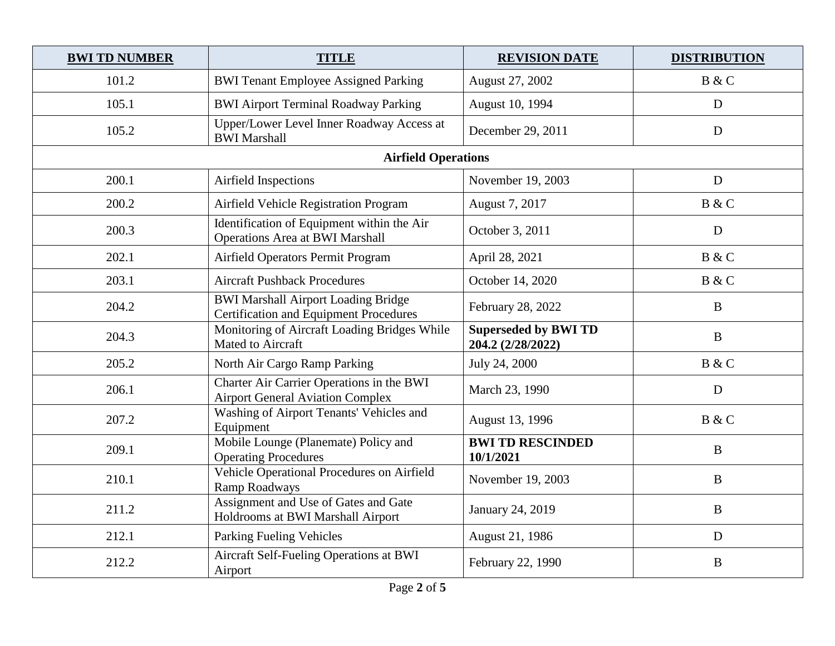| <b>BWI TD NUMBER</b>       | <b>TITLE</b>                                                                         | <b>REVISION DATE</b>                             | <b>DISTRIBUTION</b> |
|----------------------------|--------------------------------------------------------------------------------------|--------------------------------------------------|---------------------|
| 101.2                      | <b>BWI Tenant Employee Assigned Parking</b>                                          | August 27, 2002                                  | B & C               |
| 105.1                      | <b>BWI Airport Terminal Roadway Parking</b>                                          | August 10, 1994                                  | D                   |
| 105.2                      | Upper/Lower Level Inner Roadway Access at<br><b>BWI</b> Marshall                     | December 29, 2011                                | D                   |
| <b>Airfield Operations</b> |                                                                                      |                                                  |                     |
| 200.1                      | Airfield Inspections                                                                 | November 19, 2003                                | D                   |
| 200.2                      | Airfield Vehicle Registration Program                                                | August 7, 2017                                   | B & C               |
| 200.3                      | Identification of Equipment within the Air<br><b>Operations Area at BWI Marshall</b> | October 3, 2011                                  | D                   |
| 202.1                      | Airfield Operators Permit Program                                                    | April 28, 2021                                   | B & C               |
| 203.1                      | <b>Aircraft Pushback Procedures</b>                                                  | October 14, 2020                                 | B & C               |
| 204.2                      | BWI Marshall Airport Loading Bridge<br><b>Certification and Equipment Procedures</b> | February 28, 2022                                | $\bf{B}$            |
| 204.3                      | Monitoring of Aircraft Loading Bridges While<br>Mated to Aircraft                    | <b>Superseded by BWI TD</b><br>204.2 (2/28/2022) | $\, {\bf B}$        |
| 205.2                      | North Air Cargo Ramp Parking                                                         | July 24, 2000                                    | B & C               |
| 206.1                      | Charter Air Carrier Operations in the BWI<br><b>Airport General Aviation Complex</b> | March 23, 1990                                   | D                   |
| 207.2                      | Washing of Airport Tenants' Vehicles and<br>Equipment                                | August 13, 1996                                  | B & C               |
| 209.1                      | Mobile Lounge (Planemate) Policy and<br><b>Operating Procedures</b>                  | <b>BWI TD RESCINDED</b><br>10/1/2021             | $\mathbf{B}$        |
| 210.1                      | Vehicle Operational Procedures on Airfield<br>Ramp Roadways                          | November 19, 2003                                | $\bf{B}$            |
| 211.2                      | Assignment and Use of Gates and Gate<br>Holdrooms at BWI Marshall Airport            | January 24, 2019                                 | $\bf{B}$            |
| 212.1                      | Parking Fueling Vehicles                                                             | August 21, 1986                                  | D                   |
| 212.2                      | Aircraft Self-Fueling Operations at BWI<br>Airport                                   | February 22, 1990                                | $\bf{B}$            |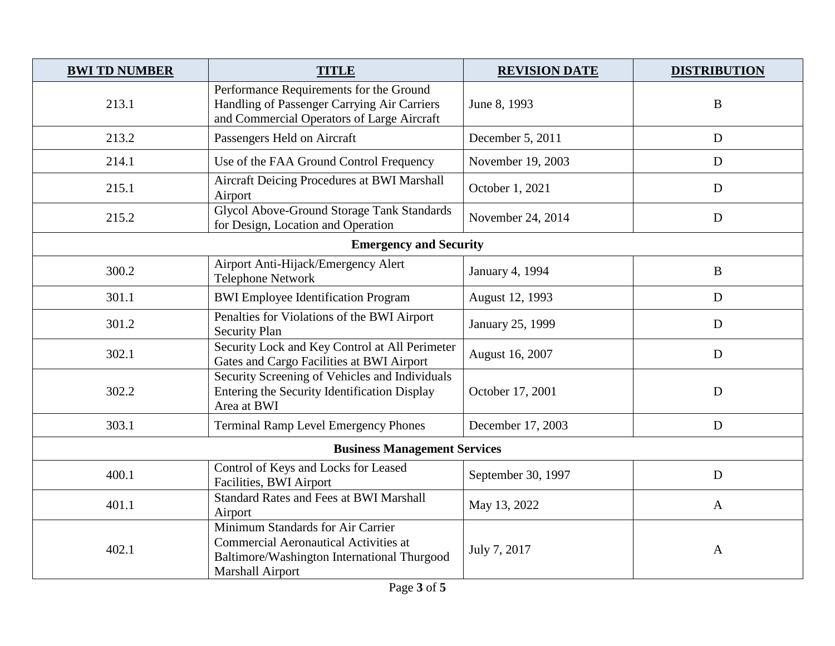| <b>BWI TD NUMBER</b>                | <b>TITLE</b>                                                                                                                                         | <b>REVISION DATE</b> | <b>DISTRIBUTION</b> |
|-------------------------------------|------------------------------------------------------------------------------------------------------------------------------------------------------|----------------------|---------------------|
| 213.1                               | Performance Requirements for the Ground<br>Handling of Passenger Carrying Air Carriers<br>and Commercial Operators of Large Aircraft                 | June 8, 1993         | B                   |
| 213.2                               | Passengers Held on Aircraft                                                                                                                          | December 5, 2011     | D                   |
| 214.1                               | Use of the FAA Ground Control Frequency                                                                                                              | November 19, 2003    | D                   |
| 215.1                               | <b>Aircraft Deicing Procedures at BWI Marshall</b><br>Airport                                                                                        | October 1, 2021      | D                   |
| 215.2                               | Glycol Above-Ground Storage Tank Standards<br>for Design, Location and Operation                                                                     | November 24, 2014    | D                   |
| <b>Emergency and Security</b>       |                                                                                                                                                      |                      |                     |
| 300.2                               | Airport Anti-Hijack/Emergency Alert<br><b>Telephone Network</b>                                                                                      | January 4, 1994      | $\, {\bf B}$        |
| 301.1                               | <b>BWI</b> Employee Identification Program                                                                                                           | August 12, 1993      | D                   |
| 301.2                               | Penalties for Violations of the BWI Airport<br><b>Security Plan</b>                                                                                  | January 25, 1999     | D                   |
| 302.1                               | Security Lock and Key Control at All Perimeter<br>Gates and Cargo Facilities at BWI Airport                                                          | August 16, 2007      | D                   |
| 302.2                               | Security Screening of Vehicles and Individuals<br>Entering the Security Identification Display<br>Area at BWI                                        | October 17, 2001     | D                   |
| 303.1                               | <b>Terminal Ramp Level Emergency Phones</b>                                                                                                          | December 17, 2003    | D                   |
| <b>Business Management Services</b> |                                                                                                                                                      |                      |                     |
| 400.1                               | Control of Keys and Locks for Leased<br>Facilities, BWI Airport                                                                                      | September 30, 1997   | D                   |
| 401.1                               | <b>Standard Rates and Fees at BWI Marshall</b><br>Airport                                                                                            | May 13, 2022         | $\mathbf{A}$        |
| 402.1                               | Minimum Standards for Air Carrier<br><b>Commercial Aeronautical Activities at</b><br>Baltimore/Washington International Thurgood<br>Marshall Airport | July 7, 2017         | $\mathbf{A}$        |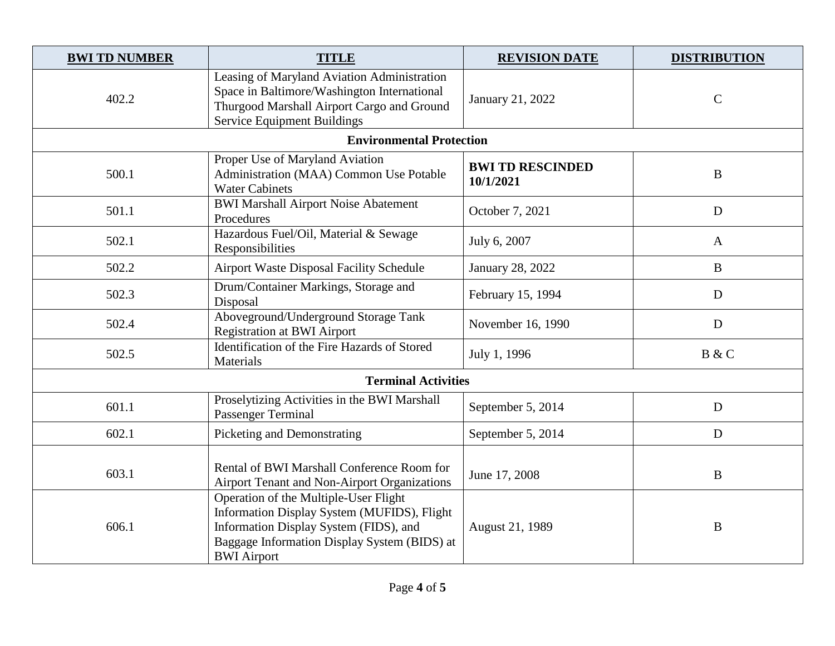| <b>BWI TD NUMBER</b>       | <b>TITLE</b>                                                                                                                                                                                         | <b>REVISION DATE</b>                 | <b>DISTRIBUTION</b> |
|----------------------------|------------------------------------------------------------------------------------------------------------------------------------------------------------------------------------------------------|--------------------------------------|---------------------|
| 402.2                      | Leasing of Maryland Aviation Administration<br>Space in Baltimore/Washington International<br>Thurgood Marshall Airport Cargo and Ground<br><b>Service Equipment Buildings</b>                       | January 21, 2022                     | $\mathcal{C}$       |
|                            | <b>Environmental Protection</b>                                                                                                                                                                      |                                      |                     |
| 500.1                      | Proper Use of Maryland Aviation<br>Administration (MAA) Common Use Potable<br><b>Water Cabinets</b>                                                                                                  | <b>BWI TD RESCINDED</b><br>10/1/2021 | $\bf{B}$            |
| 501.1                      | <b>BWI Marshall Airport Noise Abatement</b><br>Procedures                                                                                                                                            | October 7, 2021                      | D                   |
| 502.1                      | Hazardous Fuel/Oil, Material & Sewage<br>Responsibilities                                                                                                                                            | July 6, 2007                         | A                   |
| 502.2                      | <b>Airport Waste Disposal Facility Schedule</b>                                                                                                                                                      | January 28, 2022                     | $\mathbf B$         |
| 502.3                      | Drum/Container Markings, Storage and<br>Disposal                                                                                                                                                     | February 15, 1994                    | D                   |
| 502.4                      | Aboveground/Underground Storage Tank<br><b>Registration at BWI Airport</b>                                                                                                                           | November 16, 1990                    | D                   |
| 502.5                      | Identification of the Fire Hazards of Stored<br>Materials                                                                                                                                            | July 1, 1996                         | B & C               |
| <b>Terminal Activities</b> |                                                                                                                                                                                                      |                                      |                     |
| 601.1                      | Proselytizing Activities in the BWI Marshall<br><b>Passenger Terminal</b>                                                                                                                            | September 5, 2014                    | D                   |
| 602.1                      | Picketing and Demonstrating                                                                                                                                                                          | September 5, 2014                    | D                   |
| 603.1                      | Rental of BWI Marshall Conference Room for<br><b>Airport Tenant and Non-Airport Organizations</b>                                                                                                    | June 17, 2008                        | $\bf{B}$            |
| 606.1                      | Operation of the Multiple-User Flight<br>Information Display System (MUFIDS), Flight<br>Information Display System (FIDS), and<br>Baggage Information Display System (BIDS) at<br><b>BWI</b> Airport | August 21, 1989                      | $\boldsymbol{B}$    |